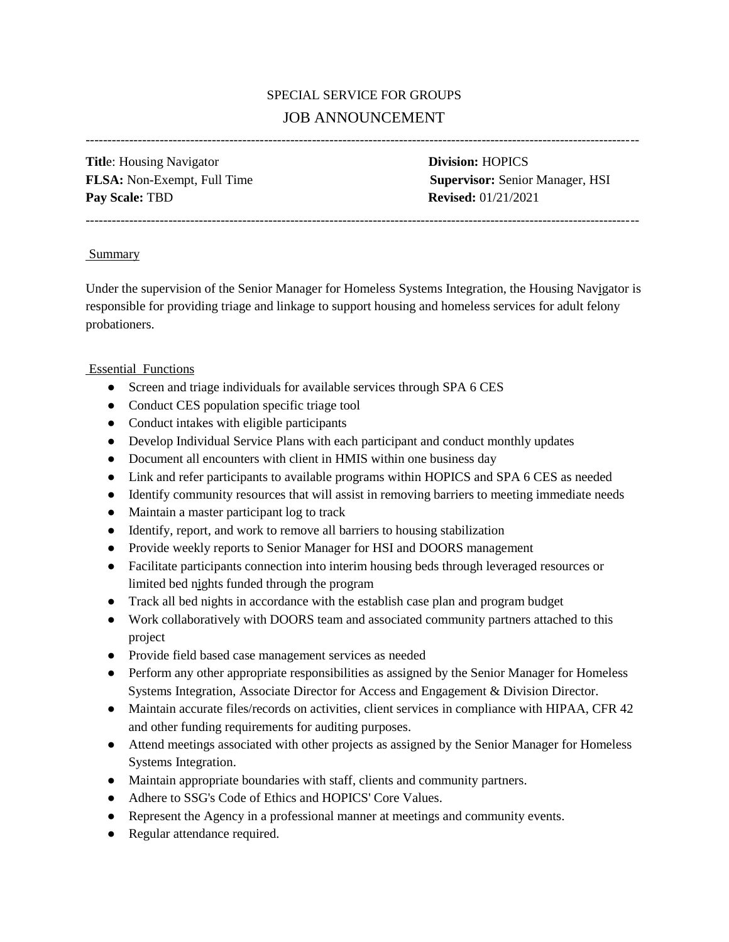# SPECIAL SERVICE FOR GROUPS JOB ANNOUNCEMENT

-------------------------------------------------------------------------------------------------------------------------------

**Titl**e: Housing Navigator **Division:** HOPICS **Pay Scale: TBD <b>Revised:** 01/21/2021

**FLSA:** Non-Exempt, Full Time **Supervisor:** Senior Manager, HSI

#### **Summary**

Under the supervision of the Senior Manager for Homeless Systems Integration, the Housing Navigator is responsible for providing triage and linkage to support housing and homeless services for adult felony probationers.

## Essential Functions

• Screen and triage individuals for available services through SPA 6 CES

-------------------------------------------------------------------------------------------------------------------------------

- Conduct CES population specific triage tool
- Conduct intakes with eligible participants
- Develop Individual Service Plans with each participant and conduct monthly updates
- Document all encounters with client in HMIS within one business day
- Link and refer participants to available programs within HOPICS and SPA 6 CES as needed
- Identify community resources that will assist in removing barriers to meeting immediate needs
- Maintain a master participant log to track
- Identify, report, and work to remove all barriers to housing stabilization
- Provide weekly reports to Senior Manager for HSI and DOORS management
- Facilitate participants connection into interim housing beds through leveraged resources or limited bed nights funded through the program
- Track all bed nights in accordance with the establish case plan and program budget
- Work collaboratively with DOORS team and associated community partners attached to this project
- Provide field based case management services as needed
- Perform any other appropriate responsibilities as assigned by the Senior Manager for Homeless Systems Integration, Associate Director for Access and Engagement & Division Director.
- Maintain accurate files/records on activities, client services in compliance with HIPAA, CFR 42 and other funding requirements for auditing purposes.
- Attend meetings associated with other projects as assigned by the Senior Manager for Homeless Systems Integration.
- Maintain appropriate boundaries with staff, clients and community partners.
- Adhere to SSG's Code of Ethics and HOPICS' Core Values.
- Represent the Agency in a professional manner at meetings and community events.
- Regular attendance required.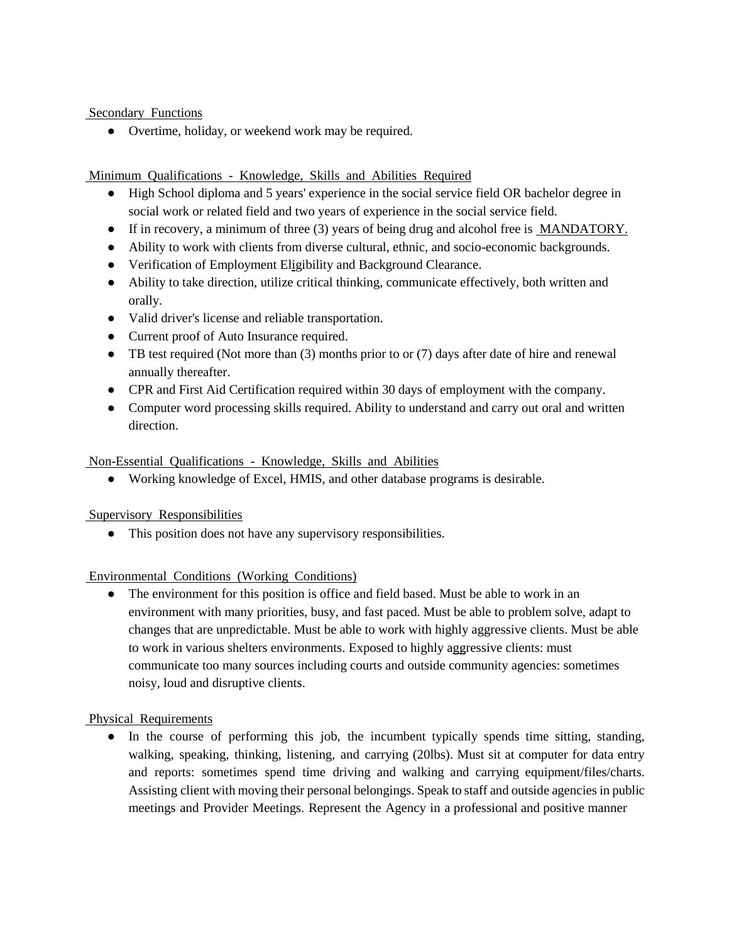Secondary Functions

● Overtime, holiday, or weekend work may be required.

Minimum Qualifications - Knowledge, Skills and Abilities Required

- High School diploma and 5 years' experience in the social service field OR bachelor degree in social work or related field and two years of experience in the social service field.
- If in recovery, a minimum of three (3) years of being drug and alcohol free is **MANDATORY**.
- Ability to work with clients from diverse cultural, ethnic, and socio-economic backgrounds.
- Verification of Employment Eligibility and Background Clearance.
- Ability to take direction, utilize critical thinking, communicate effectively, both written and orally.
- Valid driver's license and reliable transportation.
- Current proof of Auto Insurance required.
- $\bullet$  TB test required (Not more than (3) months prior to or (7) days after date of hire and renewal annually thereafter.
- CPR and First Aid Certification required within 30 days of employment with the company.
- Computer word processing skills required. Ability to understand and carry out oral and written direction.

Non-Essential Qualifications - Knowledge, Skills and Abilities

● Working knowledge of Excel, HMIS, and other database programs is desirable.

Supervisory Responsibilities

● This position does not have any supervisory responsibilities.

## Environmental Conditions (Working Conditions)

• The environment for this position is office and field based. Must be able to work in an environment with many priorities, busy, and fast paced. Must be able to problem solve, adapt to changes that are unpredictable. Must be able to work with highly aggressive clients. Must be able to work in various shelters environments. Exposed to highly aggressive clients: must communicate too many sources including courts and outside community agencies: sometimes noisy, loud and disruptive clients.

Physical Requirements

● In the course of performing this job, the incumbent typically spends time sitting, standing, walking, speaking, thinking, listening, and carrying (20lbs). Must sit at computer for data entry and reports: sometimes spend time driving and walking and carrying equipment/files/charts. Assisting client with moving their personal belongings. Speak to staff and outside agencies in public meetings and Provider Meetings. Represent the Agency in a professional and positive manner